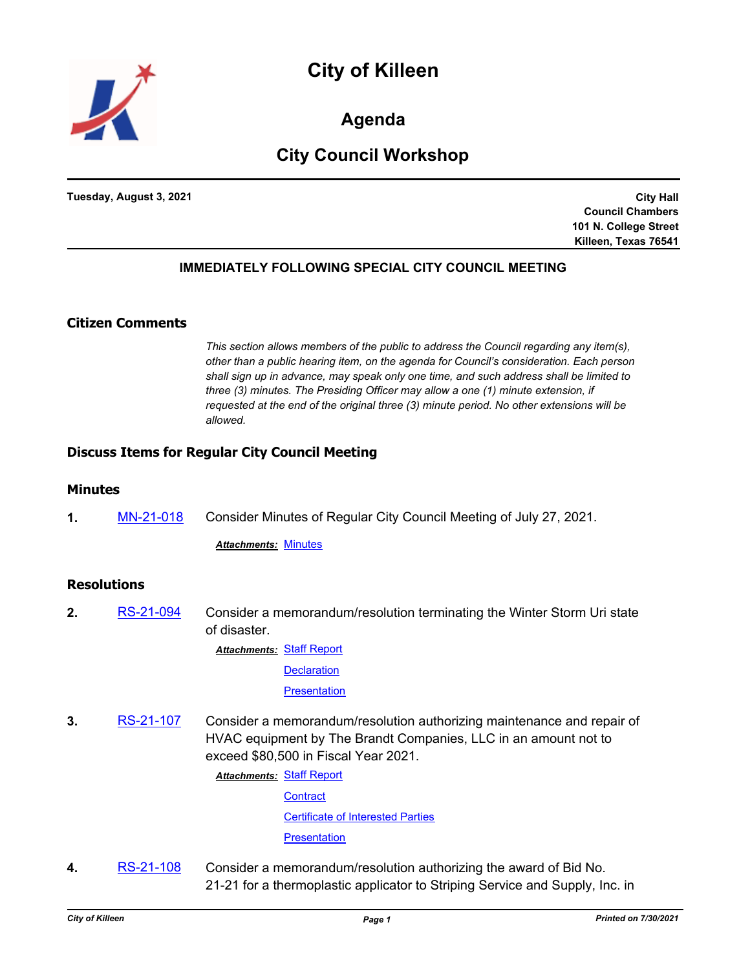



**Agenda**

# **City Council Workshop**

**Tuesday, August 3, 2021**

**City Hall Council Chambers 101 N. College Street Killeen, Texas 76541**

## **IMMEDIATELY FOLLOWING SPECIAL CITY COUNCIL MEETING**

## **Citizen Comments**

*This section allows members of the public to address the Council regarding any item(s), other than a public hearing item, on the agenda for Council's consideration. Each person shall sign up in advance, may speak only one time, and such address shall be limited to three (3) minutes. The Presiding Officer may allow a one (1) minute extension, if requested at the end of the original three (3) minute period. No other extensions will be allowed.*

## **Discuss Items for Regular City Council Meeting**

### **Minutes**

**1.** [MN-21-018](http://killeen.legistar.com/gateway.aspx?m=l&id=/matter.aspx?key=5620) Consider Minutes of Regular City Council Meeting of July 27, 2021.

*Attachments:* [Minutes](http://killeen.legistar.com/gateway.aspx?M=F&ID=3c3420df-c086-4f2e-b00f-f57891e0c562.pdf)

## **Resolutions**

- **2.** [RS-21-094](http://killeen.legistar.com/gateway.aspx?m=l&id=/matter.aspx?key=5559) Consider a memorandum/resolution terminating the Winter Storm Uri state of disaster.
	- **Attachments: [Staff Report](http://killeen.legistar.com/gateway.aspx?M=F&ID=4f9919c9-c1dd-402e-83f0-a3f6dd1f5174.pdf)**

**[Declaration](http://killeen.legistar.com/gateway.aspx?M=F&ID=4cdef8a0-0700-4165-8f7e-af95e1a94c65.pdf)** 

**[Presentation](http://killeen.legistar.com/gateway.aspx?M=F&ID=15cf3333-5e8c-4d49-a55c-24ad31c4e44c.pdf)** 

**3.** [RS-21-107](http://killeen.legistar.com/gateway.aspx?m=l&id=/matter.aspx?key=5609) Consider a memorandum/resolution authorizing maintenance and repair of HVAC equipment by The Brandt Companies, LLC in an amount not to exceed \$80,500 in Fiscal Year 2021.

**Attachments: [Staff Report](http://killeen.legistar.com/gateway.aspx?M=F&ID=7ed7094c-2728-4739-8378-c3935c1ec5af.pdf)** 

**[Contract](http://killeen.legistar.com/gateway.aspx?M=F&ID=cbb7a990-02cc-44db-bb6b-787537dc019e.pdf)** [Certificate of Interested Parties](http://killeen.legistar.com/gateway.aspx?M=F&ID=4de8b945-9cc4-4dcf-924d-d3dfe6a9b318.pdf)

**[Presentation](http://killeen.legistar.com/gateway.aspx?M=F&ID=ba825cf4-30e8-464e-9ba1-0242fc30231f.pdf)** 

**4.** [RS-21-108](http://killeen.legistar.com/gateway.aspx?m=l&id=/matter.aspx?key=5611) Consider a memorandum/resolution authorizing the award of Bid No. 21-21 for a thermoplastic applicator to Striping Service and Supply, Inc. in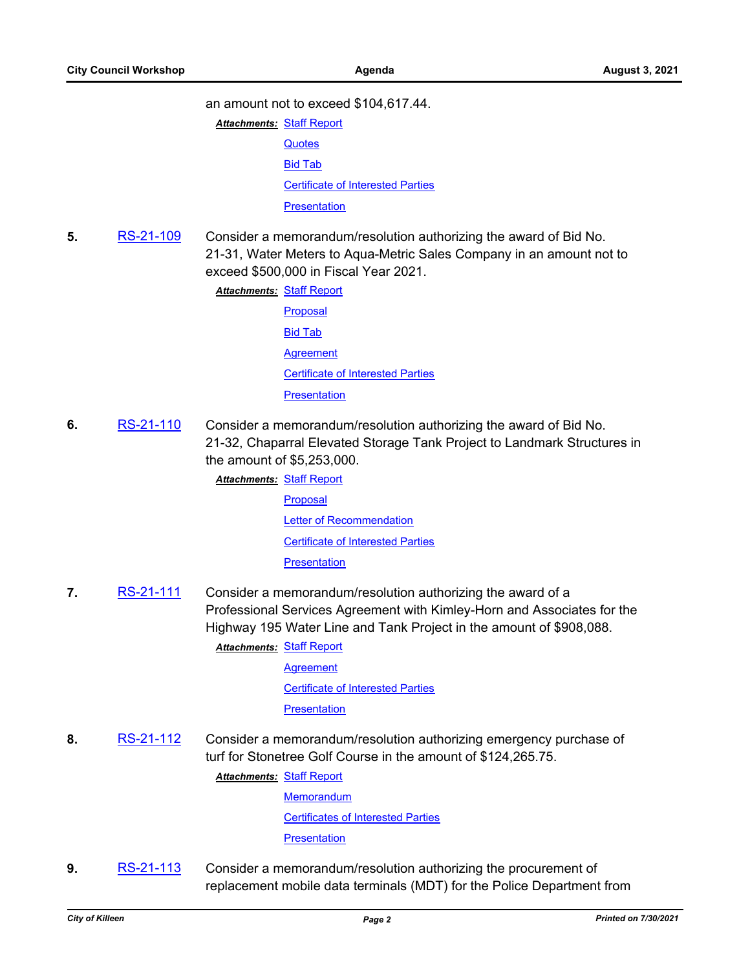#### an amount not to exceed \$104,617.44.

**Attachments: [Staff Report](http://killeen.legistar.com/gateway.aspx?M=F&ID=61f064d4-ddb1-42c9-9b9d-0be7d9196007.pdf)** 

- **[Quotes](http://killeen.legistar.com/gateway.aspx?M=F&ID=462f1cd8-81e5-452b-9d24-0b3c27d604c1.pdf)** [Bid Tab](http://killeen.legistar.com/gateway.aspx?M=F&ID=accabf2a-bb74-4fd4-8705-5e43944a71c9.pdf) [Certificate of Interested Parties](http://killeen.legistar.com/gateway.aspx?M=F&ID=8febcd93-bad1-4258-b516-9e70aa1221af.pdf) **[Presentation](http://killeen.legistar.com/gateway.aspx?M=F&ID=ff2460ee-fb74-4895-a879-49fde268c835.pdf)**
- **5.** [RS-21-109](http://killeen.legistar.com/gateway.aspx?m=l&id=/matter.aspx?key=5590) Consider a memorandum/resolution authorizing the award of Bid No. 21-31, Water Meters to Aqua-Metric Sales Company in an amount not to exceed \$500,000 in Fiscal Year 2021.

**Attachments: [Staff Report](http://killeen.legistar.com/gateway.aspx?M=F&ID=21f299fd-8d10-4afc-96d4-cdc7fbdfaf1e.pdf)** 

- [Proposal](http://killeen.legistar.com/gateway.aspx?M=F&ID=92533758-732e-49b7-903a-136c390e7976.pdf) [Bid Tab](http://killeen.legistar.com/gateway.aspx?M=F&ID=2a293b48-4f4c-41e7-9ae3-9f6e9ffc589c.pdf) **[Agreement](http://killeen.legistar.com/gateway.aspx?M=F&ID=040e2a00-7c9a-4ec0-97df-4819c24e6226.pdf)** [Certificate of Interested Parties](http://killeen.legistar.com/gateway.aspx?M=F&ID=32d7a1bc-ac1d-4789-a698-b8464d7f870a.pdf) **[Presentation](http://killeen.legistar.com/gateway.aspx?M=F&ID=0a943caa-e024-4cc4-94c6-dd72dee0f969.pdf)**
- **6.** [RS-21-110](http://killeen.legistar.com/gateway.aspx?m=l&id=/matter.aspx?key=5622) Consider a memorandum/resolution authorizing the award of Bid No. 21-32, Chaparral Elevated Storage Tank Project to Landmark Structures in the amount of \$5,253,000.
	- **Attachments: [Staff Report](http://killeen.legistar.com/gateway.aspx?M=F&ID=dc912c2e-fe6e-4905-9986-c8a47ecbaa60.pdf)** [Proposal](http://killeen.legistar.com/gateway.aspx?M=F&ID=fc69f8bd-549f-42c3-85fd-8347698f3b0f.pdf) [Letter of Recommendation](http://killeen.legistar.com/gateway.aspx?M=F&ID=337e7683-6518-4b23-a67a-4bd8552937ef.pdf) [Certificate of Interested Parties](http://killeen.legistar.com/gateway.aspx?M=F&ID=4cc490bc-054e-4fb0-be48-88e018960f67.pdf) **[Presentation](http://killeen.legistar.com/gateway.aspx?M=F&ID=0b8d2523-b3ed-415d-9948-6487eb1bf738.pdf)**
- **7.** [RS-21-111](http://killeen.legistar.com/gateway.aspx?m=l&id=/matter.aspx?key=5623) Consider a memorandum/resolution authorizing the award of a Professional Services Agreement with Kimley-Horn and Associates for the Highway 195 Water Line and Tank Project in the amount of \$908,088.

**Attachments: [Staff Report](http://killeen.legistar.com/gateway.aspx?M=F&ID=c815539b-0082-4ae5-8cf4-1c3017f15d6e.pdf)** 

**[Agreement](http://killeen.legistar.com/gateway.aspx?M=F&ID=65f99917-78ac-4c46-8473-ea5b8616c487.pdf)** 

[Certificate of Interested Parties](http://killeen.legistar.com/gateway.aspx?M=F&ID=bf376e11-502b-4d3e-a811-495d7c4243d1.pdf)

**[Presentation](http://killeen.legistar.com/gateway.aspx?M=F&ID=cf3a5496-9c86-4621-b476-960d8583a89b.pdf)** 

**8.** [RS-21-112](http://killeen.legistar.com/gateway.aspx?m=l&id=/matter.aspx?key=5626) Consider a memorandum/resolution authorizing emergency purchase of turf for Stonetree Golf Course in the amount of \$124,265.75.

**Attachments: [Staff Report](http://killeen.legistar.com/gateway.aspx?M=F&ID=89c74470-7db2-4782-81d9-2900093c9216.pdf)** 

**[Memorandum](http://killeen.legistar.com/gateway.aspx?M=F&ID=7546e29a-9e3f-496c-97ec-0c082ba85d0a.pdf)** [Certificates of Interested Parties](http://killeen.legistar.com/gateway.aspx?M=F&ID=718dcbac-51d5-4bda-a56d-7d0ca9ba2883.pdf) **[Presentation](http://killeen.legistar.com/gateway.aspx?M=F&ID=2167012d-3c1e-499b-9d80-f0438e5a5b3b.pdf)** 

**9.** [RS-21-113](http://killeen.legistar.com/gateway.aspx?m=l&id=/matter.aspx?key=5628) Consider a memorandum/resolution authorizing the procurement of replacement mobile data terminals (MDT) for the Police Department from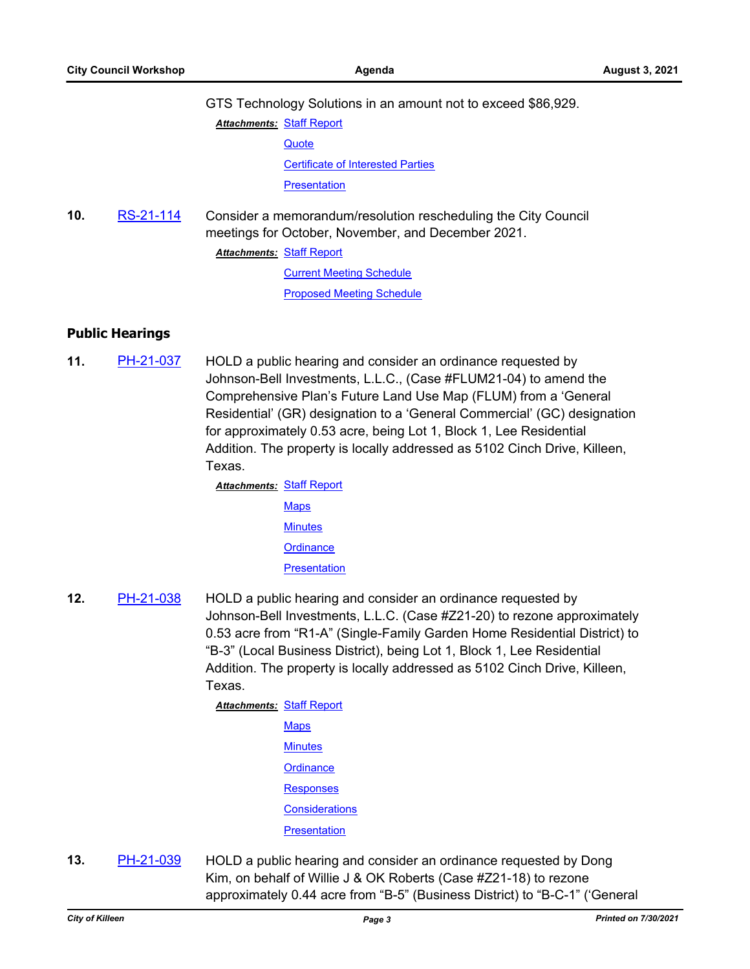GTS Technology Solutions in an amount not to exceed \$86,929. **Attachments: [Staff Report](http://killeen.legistar.com/gateway.aspx?M=F&ID=97517275-5c88-44ff-bb27-9d18ddf8d1e1.pdf)** 

> **[Quote](http://killeen.legistar.com/gateway.aspx?M=F&ID=34135a06-ce35-4216-85d2-28ebe44cfa74.pdf)** [Certificate of Interested Parties](http://killeen.legistar.com/gateway.aspx?M=F&ID=c98a87f9-e369-4fef-b1f0-c5b5192d4385.pdf) **[Presentation](http://killeen.legistar.com/gateway.aspx?M=F&ID=54b65b96-3207-442b-88b1-e3054c0ced3a.pdf)**

**10.** [RS-21-114](http://killeen.legistar.com/gateway.aspx?m=l&id=/matter.aspx?key=5606) Consider a memorandum/resolution rescheduling the City Council meetings for October, November, and December 2021. **Attachments: [Staff Report](http://killeen.legistar.com/gateway.aspx?M=F&ID=2ac2f215-5966-430a-b76d-c1a8d813f7c1.pdf)** 

[Current Meeting Schedule](http://killeen.legistar.com/gateway.aspx?M=F&ID=dd779bea-6a43-442d-9c33-e3a8fe97c8f5.pdf)

[Proposed Meeting Schedule](http://killeen.legistar.com/gateway.aspx?M=F&ID=47ff786a-38eb-4da0-b46e-e4ba316f1cb6.pdf)

## **Public Hearings**

**11.** [PH-21-037](http://killeen.legistar.com/gateway.aspx?m=l&id=/matter.aspx?key=5568) HOLD a public hearing and consider an ordinance requested by Johnson-Bell Investments, L.L.C., (Case #FLUM21-04) to amend the Comprehensive Plan's Future Land Use Map (FLUM) from a 'General Residential' (GR) designation to a 'General Commercial' (GC) designation for approximately 0.53 acre, being Lot 1, Block 1, Lee Residential Addition. The property is locally addressed as 5102 Cinch Drive, Killeen, Texas.

> **Attachments: [Staff Report](http://killeen.legistar.com/gateway.aspx?M=F&ID=b089d709-011a-4e5c-a0f6-196a3b93ed2f.pdf) [Maps](http://killeen.legistar.com/gateway.aspx?M=F&ID=8a5e728d-fd4e-4c15-ba5d-e167f923f470.pdf) [Minutes](http://killeen.legistar.com/gateway.aspx?M=F&ID=825d7ca9-60c9-4feb-96e0-a6451534b049.pdf) [Ordinance](http://killeen.legistar.com/gateway.aspx?M=F&ID=203750d9-7413-4945-a99a-b0d2d0b93846.pdf) [Presentation](http://killeen.legistar.com/gateway.aspx?M=F&ID=74130290-315b-449b-b2fb-9036820a56dc.pdf)**

**12.** [PH-21-038](http://killeen.legistar.com/gateway.aspx?m=l&id=/matter.aspx?key=5573) HOLD a public hearing and consider an ordinance requested by Johnson-Bell Investments, L.L.C. (Case #Z21-20) to rezone approximately 0.53 acre from "R1-A" (Single-Family Garden Home Residential District) to "B-3" (Local Business District), being Lot 1, Block 1, Lee Residential Addition. The property is locally addressed as 5102 Cinch Drive, Killeen, Texas.

> **Attachments: [Staff Report](http://killeen.legistar.com/gateway.aspx?M=F&ID=7a0f0f49-3880-4528-9e7c-7249bf22bf7e.pdf) [Maps](http://killeen.legistar.com/gateway.aspx?M=F&ID=8ff908c5-fbfc-4dc9-84e9-a950c6ab269d.pdf) [Minutes](http://killeen.legistar.com/gateway.aspx?M=F&ID=d78c0b63-4933-444b-ba0a-5af15c7a83cc.pdf) [Ordinance](http://killeen.legistar.com/gateway.aspx?M=F&ID=7dc10725-e661-4627-9770-439d7548a8ed.pdf) [Responses](http://killeen.legistar.com/gateway.aspx?M=F&ID=857f714b-1590-4cb0-8a1f-379fe9eba1b7.pdf) [Considerations](http://killeen.legistar.com/gateway.aspx?M=F&ID=e1ed9377-acfc-4a8a-b00b-edf2de22512b.pdf) [Presentation](http://killeen.legistar.com/gateway.aspx?M=F&ID=60e6a7e7-7870-461a-9201-86d0ce6bd0f1.pdf)**

**13.** [PH-21-039](http://killeen.legistar.com/gateway.aspx?m=l&id=/matter.aspx?key=5571) HOLD a public hearing and consider an ordinance requested by Dong Kim, on behalf of Willie J & OK Roberts (Case #Z21-18) to rezone approximately 0.44 acre from "B-5" (Business District) to "B-C-1" ('General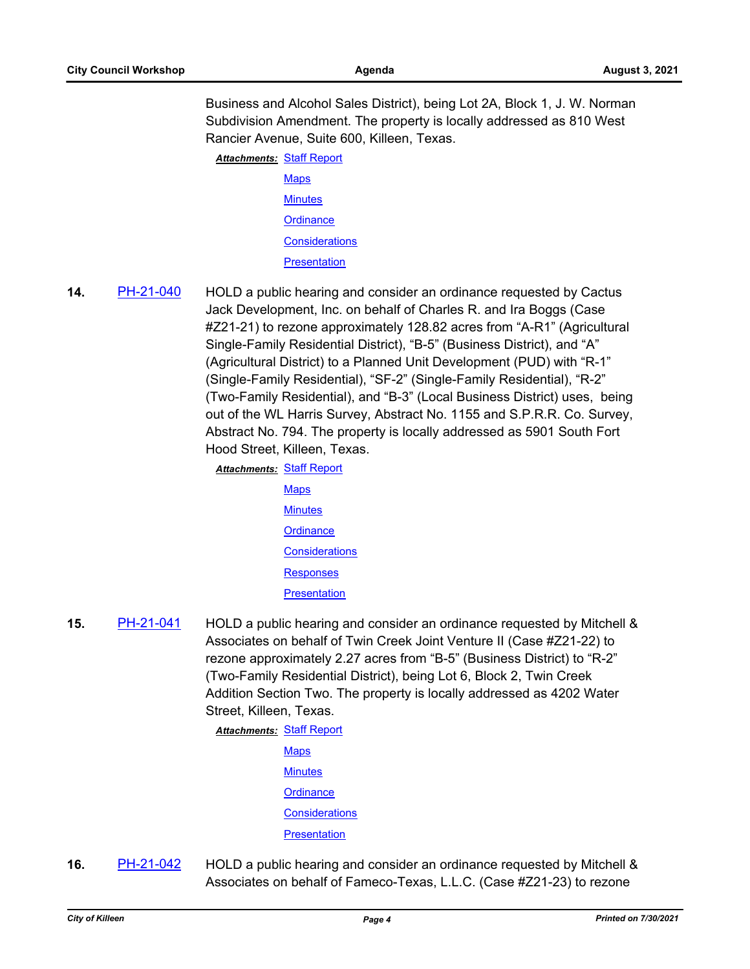Business and Alcohol Sales District), being Lot 2A, Block 1, J. W. Norman Subdivision Amendment. The property is locally addressed as 810 West Rancier Avenue, Suite 600, Killeen, Texas.

**Attachments: [Staff Report](http://killeen.legistar.com/gateway.aspx?M=F&ID=0e06b62b-ab65-42f0-883f-988fe86bc5b2.pdf)** 

- [Maps](http://killeen.legistar.com/gateway.aspx?M=F&ID=8c46db9b-f3da-4399-ad38-2441c4d5ce2d.pdf) **[Minutes](http://killeen.legistar.com/gateway.aspx?M=F&ID=aa6fc3d6-7727-40ea-90ac-a419456a35e3.pdf) [Ordinance](http://killeen.legistar.com/gateway.aspx?M=F&ID=6be5d682-6727-4f71-a9ad-117ef28e9165.pdf) [Considerations](http://killeen.legistar.com/gateway.aspx?M=F&ID=a7cfa9c3-4205-44b1-8587-35f2ba37eba5.pdf) [Presentation](http://killeen.legistar.com/gateway.aspx?M=F&ID=66c63385-8544-40d3-96de-913735f9c8ec.pdf)**
- **14.** [PH-21-040](http://killeen.legistar.com/gateway.aspx?m=l&id=/matter.aspx?key=5574) HOLD a public hearing and consider an ordinance requested by Cactus Jack Development, Inc. on behalf of Charles R. and Ira Boggs (Case #Z21-21) to rezone approximately 128.82 acres from "A-R1" (Agricultural Single-Family Residential District), "B-5" (Business District), and "A" (Agricultural District) to a Planned Unit Development (PUD) with "R-1" (Single-Family Residential), "SF-2" (Single-Family Residential), "R-2" (Two-Family Residential), and "B-3" (Local Business District) uses, being out of the WL Harris Survey, Abstract No. 1155 and S.P.R.R. Co. Survey, Abstract No. 794. The property is locally addressed as 5901 South Fort Hood Street, Killeen, Texas.
	- **Attachments: [Staff Report](http://killeen.legistar.com/gateway.aspx?M=F&ID=e296bb79-c778-4d81-b125-96bce4439171.pdf) [Maps](http://killeen.legistar.com/gateway.aspx?M=F&ID=8e822547-728e-4c91-9026-9023652c8e95.pdf) [Minutes](http://killeen.legistar.com/gateway.aspx?M=F&ID=f236975e-a896-462a-8622-bdcce3b9a168.pdf) [Ordinance](http://killeen.legistar.com/gateway.aspx?M=F&ID=f8665b95-2df1-4d3c-8d16-cb154d15411a.pdf) [Considerations](http://killeen.legistar.com/gateway.aspx?M=F&ID=eaa2504a-f42e-42b9-99e1-96f318bd5548.pdf)** [Responses](http://killeen.legistar.com/gateway.aspx?M=F&ID=22941b48-c423-40b5-b36c-28c45bd24f22.pdf) **[Presentation](http://killeen.legistar.com/gateway.aspx?M=F&ID=8040f4da-8ccf-4147-ba9e-1c9baa077024.pdf)**
- **15.** [PH-21-041](http://killeen.legistar.com/gateway.aspx?m=l&id=/matter.aspx?key=5575) HOLD a public hearing and consider an ordinance requested by Mitchell & Associates on behalf of Twin Creek Joint Venture II (Case #Z21-22) to rezone approximately 2.27 acres from "B-5" (Business District) to "R-2" (Two-Family Residential District), being Lot 6, Block 2, Twin Creek Addition Section Two. The property is locally addressed as 4202 Water Street, Killeen, Texas.

**Attachments: [Staff Report](http://killeen.legistar.com/gateway.aspx?M=F&ID=d3ccceed-1c7a-4793-ab79-27c7c58cdd44.pdf)** 

- **[Maps](http://killeen.legistar.com/gateway.aspx?M=F&ID=cbc3e5c8-a005-4f2d-b7b8-39ac10fb42a9.pdf) [Minutes](http://killeen.legistar.com/gateway.aspx?M=F&ID=bca59fb6-7540-47d8-a8a9-35e2894c139b.pdf) [Ordinance](http://killeen.legistar.com/gateway.aspx?M=F&ID=c7076ab8-ce9f-402b-b332-8ac764b55df2.pdf) [Considerations](http://killeen.legistar.com/gateway.aspx?M=F&ID=2677c89c-e4a6-4be5-8439-e06588765205.pdf) [Presentation](http://killeen.legistar.com/gateway.aspx?M=F&ID=6e0a658f-9507-4513-aa5f-049d9f962ec9.pdf)**
- **16.** [PH-21-042](http://killeen.legistar.com/gateway.aspx?m=l&id=/matter.aspx?key=5576) HOLD a public hearing and consider an ordinance requested by Mitchell & Associates on behalf of Fameco-Texas, L.L.C. (Case #Z21-23) to rezone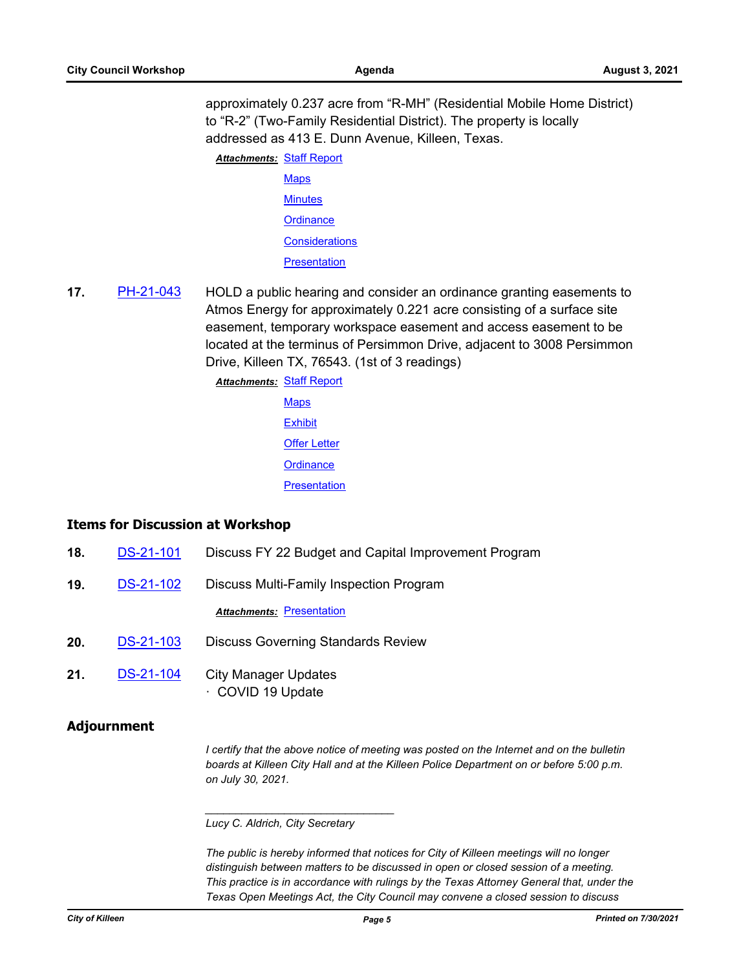approximately 0.237 acre from "R-MH" (Residential Mobile Home District) to "R-2" (Two-Family Residential District). The property is locally addressed as 413 E. Dunn Avenue, Killeen, Texas.

**Attachments: [Staff Report](http://killeen.legistar.com/gateway.aspx?M=F&ID=067f4df9-b2a0-419c-bbc7-aee59dd08d95.pdf)** 

- [Maps](http://killeen.legistar.com/gateway.aspx?M=F&ID=db1a1d12-84fc-4eca-ad80-3f47e33315e2.pdf) **[Minutes](http://killeen.legistar.com/gateway.aspx?M=F&ID=50868b31-7a99-44f5-a1fe-702d932ee4f8.pdf) [Ordinance](http://killeen.legistar.com/gateway.aspx?M=F&ID=36e18175-837d-4acf-90af-d49814a9ac64.pdf) [Considerations](http://killeen.legistar.com/gateway.aspx?M=F&ID=e771ab85-fd6a-456a-9c39-6571f16df4de.pdf) [Presentation](http://killeen.legistar.com/gateway.aspx?M=F&ID=c3073a9a-8916-47ae-88b8-9ad5c26ca5b4.pdf)**
- **17.** [PH-21-043](http://killeen.legistar.com/gateway.aspx?m=l&id=/matter.aspx?key=5627) HOLD a public hearing and consider an ordinance granting easements to Atmos Energy for approximately 0.221 acre consisting of a surface site easement, temporary workspace easement and access easement to be located at the terminus of Persimmon Drive, adjacent to 3008 Persimmon Drive, Killeen TX, 76543. (1st of 3 readings)

**Attachments: [Staff Report](http://killeen.legistar.com/gateway.aspx?M=F&ID=994bcbbe-af8f-4de0-8033-956bd1b22453.pdf) [Maps](http://killeen.legistar.com/gateway.aspx?M=F&ID=fd93a5df-91aa-4b78-895c-e96587131f11.pdf) [Exhibit](http://killeen.legistar.com/gateway.aspx?M=F&ID=f6cb8c0b-7a09-48a5-b8c6-99472d80a201.pdf) [Offer Letter](http://killeen.legistar.com/gateway.aspx?M=F&ID=33fda0b4-dfeb-4c1f-bd0b-8dda1d08ab17.pdf) [Ordinance](http://killeen.legistar.com/gateway.aspx?M=F&ID=8b3d10ea-d68d-410a-8eb4-8b30037c0072.pdf) [Presentation](http://killeen.legistar.com/gateway.aspx?M=F&ID=4c73084e-4b7c-4919-8669-00a089ca0a76.pdf)** 

## **Items for Discussion at Workshop**

- **18.** [DS-21-101](http://killeen.legistar.com/gateway.aspx?m=l&id=/matter.aspx?key=5615) Discuss FY 22 Budget and Capital Improvement Program
- **19.** [DS-21-102](http://killeen.legistar.com/gateway.aspx?m=l&id=/matter.aspx?key=5621) Discuss Multi-Family Inspection Program

**Attachments: [Presentation](http://killeen.legistar.com/gateway.aspx?M=F&ID=a5ba87ce-2ff5-468c-8af4-6e2f9b3b832e.pdf)** 

- **20.** [DS-21-103](http://killeen.legistar.com/gateway.aspx?m=l&id=/matter.aspx?key=5616) Discuss Governing Standards Review
- **21.** [DS-21-104](http://killeen.legistar.com/gateway.aspx?m=l&id=/matter.aspx?key=5630) City Manager Updates · COVID 19 Update

## **Adjournment**

*I certify that the above notice of meeting was posted on the Internet and on the bulletin boards at Killeen City Hall and at the Killeen Police Department on or before 5:00 p.m. on July 30, 2021.*

#### *Lucy C. Aldrich, City Secretary*

*\_\_\_\_\_\_\_\_\_\_\_\_\_\_\_\_\_\_\_\_\_\_\_\_\_\_\_\_\_\_\_*

*The public is hereby informed that notices for City of Killeen meetings will no longer distinguish between matters to be discussed in open or closed session of a meeting. This practice is in accordance with rulings by the Texas Attorney General that, under the Texas Open Meetings Act, the City Council may convene a closed session to discuss*